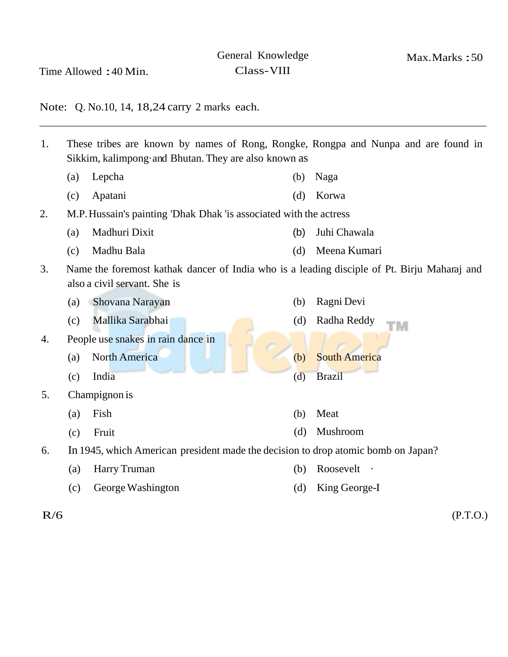Time Allowed :40 Min.

Class-VIII

Max.Marks :50

Note: Q. No.10, 14, 18,24 carry 2 marks each.

- 1. These tribes are known by names of Rong, Rongke, Rongpa and Nunpa and are found in Sikkim, kalimpong·and Bhutan. They are also known as (a) Lepcha (b) Naga (c) Apatani (d) Korwa 2. M.P. Hussain's painting 'Dhak Dhak 'is associated with the actress (a) Madhuri Dixit (b) Juhi Chawala (c) Madhu Bala (d) Meena Kumari 3. Name the foremost kathak dancer of India who is a leading disciple of Pt. Birju Maharaj and also a civil servant. She is (a) Shovana Narayan (c) Mallika Sarabhai 4. People use snakes in rain dance in (a) North America (c) India 5. Champignon is (a) Fish (c) Fruit (b) Ragni Devi (d) Radha Reddy (b) South America (d) Brazil (b) Meat (d) Mushroom 6. In 1945, which American president made the decision to drop atomic bomb on Japan? (a) Harry Truman (b) Roosevelt · (c) George Washington (d) King George-I
- 

 $R/6$  (P.T.O.)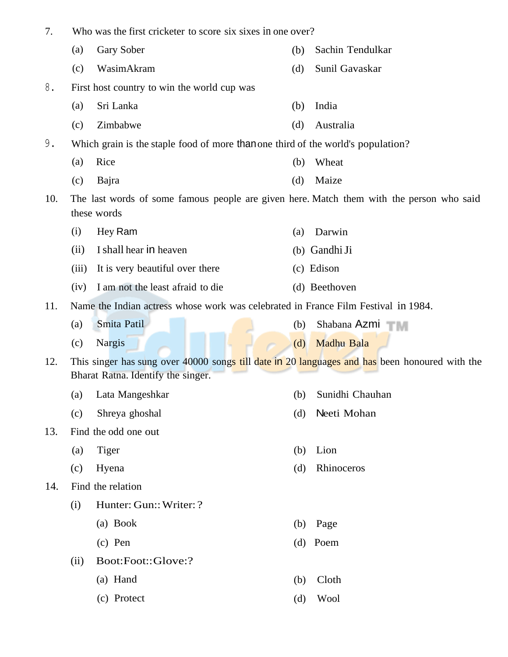| 7.  | Who was the first cricketer to score six sixes in one over?                                                                          |                                                                                  |     |                  |  |  |  |
|-----|--------------------------------------------------------------------------------------------------------------------------------------|----------------------------------------------------------------------------------|-----|------------------|--|--|--|
|     | (a)                                                                                                                                  | Gary Sober                                                                       | (b) | Sachin Tendulkar |  |  |  |
|     | (c)                                                                                                                                  | WasimAkram                                                                       | (d) | Sunil Gavaskar   |  |  |  |
| 8.  | First host country to win the world cup was                                                                                          |                                                                                  |     |                  |  |  |  |
|     | (a)                                                                                                                                  | Sri Lanka                                                                        | (b) | India            |  |  |  |
|     | (c)                                                                                                                                  | Zimbabwe                                                                         | (d) | Australia        |  |  |  |
| 9.  |                                                                                                                                      | Which grain is the staple food of more than one third of the world's population? |     |                  |  |  |  |
|     | (a)                                                                                                                                  | Rice                                                                             | (b) | Wheat            |  |  |  |
|     | (c)                                                                                                                                  | Bajra                                                                            | (d) | Maize            |  |  |  |
| 10. | The last words of some famous people are given here. Match them with the person who said<br>these words                              |                                                                                  |     |                  |  |  |  |
|     | (i)                                                                                                                                  | Hey Ram                                                                          | (a) | Darwin           |  |  |  |
|     | (ii)                                                                                                                                 | I shall hear in heaven                                                           |     | (b) Gandhi Ji    |  |  |  |
|     | (iii)                                                                                                                                | It is very beautiful over there                                                  |     | (c) Edison       |  |  |  |
|     | (iv)                                                                                                                                 | I am not the least afraid to die                                                 |     | (d) Beethoven    |  |  |  |
| 11. | Name the Indian actress whose work was celebrated in France Film Festival in 1984.                                                   |                                                                                  |     |                  |  |  |  |
|     | (a)                                                                                                                                  | Smita Patil                                                                      | (b) | Shabana Azmi     |  |  |  |
|     | (c)                                                                                                                                  | Nargis                                                                           | (d) | Madhu Bala       |  |  |  |
| 12. | This singer has sung over 40000 songs till date in 20 languages and has been honoured with the<br>Bharat Ratna. Identify the singer. |                                                                                  |     |                  |  |  |  |
|     | (a)                                                                                                                                  | Lata Mangeshkar                                                                  | (b) | Sunidhi Chauhan  |  |  |  |
|     | (c)                                                                                                                                  | Shreya ghoshal                                                                   | (d) | Neeti Mohan      |  |  |  |
| 13. |                                                                                                                                      | Find the odd one out                                                             |     |                  |  |  |  |
|     | (a)                                                                                                                                  | <b>Tiger</b>                                                                     | (b) | Lion             |  |  |  |
|     | (c)                                                                                                                                  | Hyena                                                                            | (d) | Rhinoceros       |  |  |  |
| 14. |                                                                                                                                      | Find the relation                                                                |     |                  |  |  |  |
|     | (i)                                                                                                                                  | Hunter: Gun:: Writer: ?                                                          |     |                  |  |  |  |
|     |                                                                                                                                      | (a) Book                                                                         | (b) | Page             |  |  |  |
|     |                                                                                                                                      | $(c)$ Pen                                                                        |     | $(d)$ Poem       |  |  |  |
|     | (ii)                                                                                                                                 | Boot:Foot::Glove:?                                                               |     |                  |  |  |  |
|     |                                                                                                                                      | (a) Hand                                                                         | (b) | Cloth            |  |  |  |
|     |                                                                                                                                      | (c) Protect                                                                      | (d) | Wool             |  |  |  |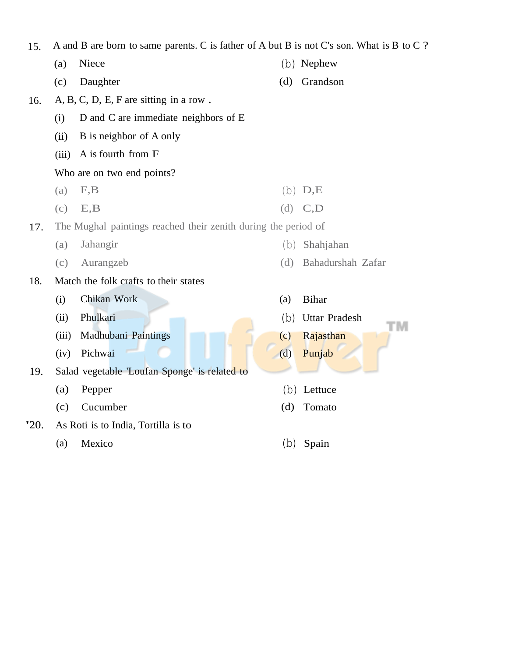| 15.         | A and B are born to same parents. C is father of A but B is not C's son. What is B to C? |                                               |     |                            |  |  |
|-------------|------------------------------------------------------------------------------------------|-----------------------------------------------|-----|----------------------------|--|--|
|             | (a)                                                                                      | Niece                                         |     | $(b)$ Nephew               |  |  |
|             | (c)                                                                                      | Daughter                                      | (d) | Grandson                   |  |  |
| 16.         |                                                                                          | $A, B, C, D, E, F$ are sitting in a row.      |     |                            |  |  |
|             | (i)                                                                                      | D and C are immediate neighbors of E          |     |                            |  |  |
|             | (ii)                                                                                     | B is neighbor of A only                       |     |                            |  |  |
|             | (iii)                                                                                    | A is fourth from F                            |     |                            |  |  |
|             |                                                                                          | Who are on two end points?                    |     |                            |  |  |
|             | (a)                                                                                      | F,B                                           |     | $(b)$ $D,E$                |  |  |
|             | (c)                                                                                      | E, B                                          | (d) | C, D                       |  |  |
| 17.         | The Mughal paintings reached their zenith during the period of                           |                                               |     |                            |  |  |
|             | (a)                                                                                      | Jahangir                                      | (d) | Shahjahan                  |  |  |
|             | (c)                                                                                      | Aurangzeb                                     | (d) | Bahadurshah Zafar          |  |  |
| 18.         | Match the folk crafts to their states                                                    |                                               |     |                            |  |  |
|             | (i)                                                                                      | Chikan Work                                   | (a) | <b>Bihar</b>               |  |  |
|             | (ii)                                                                                     | Phulkari                                      | (b) | <b>Uttar Pradesh</b><br>'M |  |  |
|             | (iii)                                                                                    | Madhubani Paintings                           | (c) | Rajasthan                  |  |  |
|             | (iv)                                                                                     | Pichwai                                       | (d) | Punjab                     |  |  |
| 19.         |                                                                                          | Salad vegetable 'Loufan Sponge' is related to |     |                            |  |  |
|             | (a)                                                                                      | Pepper                                        |     | (b) Lettuce                |  |  |
|             | (c)                                                                                      | Cucumber                                      | (d) | Tomato                     |  |  |
| <b>'20.</b> |                                                                                          | As Roti is to India, Tortilla is to           |     |                            |  |  |
|             | (a)                                                                                      | Mexico                                        | (b) | Spain                      |  |  |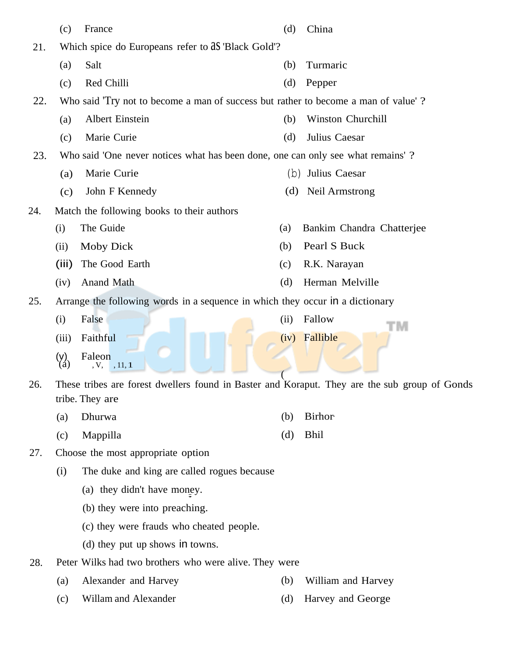|     | (c)                                                                             | France                                                                                        | (d)  | China                     |  |
|-----|---------------------------------------------------------------------------------|-----------------------------------------------------------------------------------------------|------|---------------------------|--|
| 21. |                                                                                 | Which spice do Europeans refer to as 'Black Gold'?                                            |      |                           |  |
|     | (a)                                                                             | Salt                                                                                          | (b)  | Turmaric                  |  |
|     | (c)                                                                             | Red Chilli                                                                                    | (d)  | Pepper                    |  |
| 22. |                                                                                 | Who said 'Try not to become a man of success but rather to become a man of value'?            |      |                           |  |
|     | (a)                                                                             | Albert Einstein                                                                               | (b)  | Winston Churchill         |  |
|     | (c)                                                                             | Marie Curie                                                                                   | (d)  | Julius Caesar             |  |
| 23. | Who said 'One never notices what has been done, one can only see what remains'? |                                                                                               |      |                           |  |
|     | (a)                                                                             | Marie Curie                                                                                   | (b)  | Julius Caesar             |  |
|     | (c)                                                                             | John F Kennedy                                                                                | (d)  | Neil Armstrong            |  |
| 24. |                                                                                 | Match the following books to their authors                                                    |      |                           |  |
|     | (i)                                                                             | The Guide                                                                                     | (a)  | Bankim Chandra Chatterjee |  |
|     | (ii)                                                                            | <b>Moby Dick</b>                                                                              | (b)  | Pearl S Buck              |  |
|     | (iii)                                                                           | The Good Earth                                                                                | (c)  | R.K. Narayan              |  |
|     | (iv)                                                                            | Anand Math                                                                                    | (d)  | Herman Melville           |  |
| 25. |                                                                                 | Arrange the following words in a sequence in which they occur in a dictionary                 |      |                           |  |
|     | (i)                                                                             | False                                                                                         | (ii) | Fallow<br>TΜ              |  |
|     | (iii)                                                                           | Faithful                                                                                      |      | (iv) Fallible             |  |
|     | $\binom{y}{a}$                                                                  | Faleon<br>, 11, 1<br>V,                                                                       |      |                           |  |
| 26. |                                                                                 | These tribes are forest dwellers found in Baster and Koraput. They are the sub group of Gonds |      |                           |  |
|     |                                                                                 | tribe. They are                                                                               |      |                           |  |
|     | (a)                                                                             | Dhurwa                                                                                        | (b)  | <b>Birhor</b>             |  |
|     | (c)                                                                             | Mappilla                                                                                      | (d)  | <b>Bhil</b>               |  |
| 27. |                                                                                 | Choose the most appropriate option                                                            |      |                           |  |
|     | (i)                                                                             | The duke and king are called rogues because                                                   |      |                           |  |
|     |                                                                                 | (a) they didn't have money.                                                                   |      |                           |  |
|     |                                                                                 | (b) they were into preaching.                                                                 |      |                           |  |

- (c) they were frauds who cheated people.
- (d) they put up shows in towns.
- 28. Peter Wilks had two brothers who were alive. They were
	- (a) Alexander and Harvey (b) William and Harvey
	- (c) Willam and Alexander (d) Harvey and George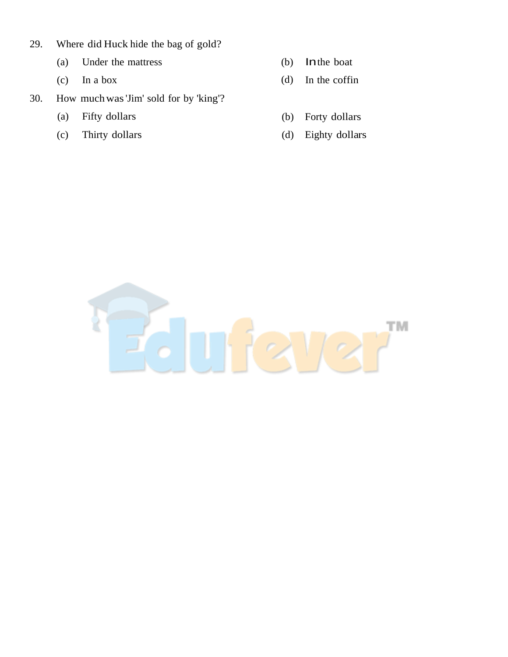- 29. Where did Huck hide the bag of gold?
	- (a) Under the mattress (b) Inthe boat
	-
- 30. How muchwas 'Jim' sold for by 'king'?
	- (a) Fifty dollars
	- (c) Thirty dollars
- 
- (c) In a box (d) In the coffin
	- (b) Forty dollars
	- (d) Eighty dollars

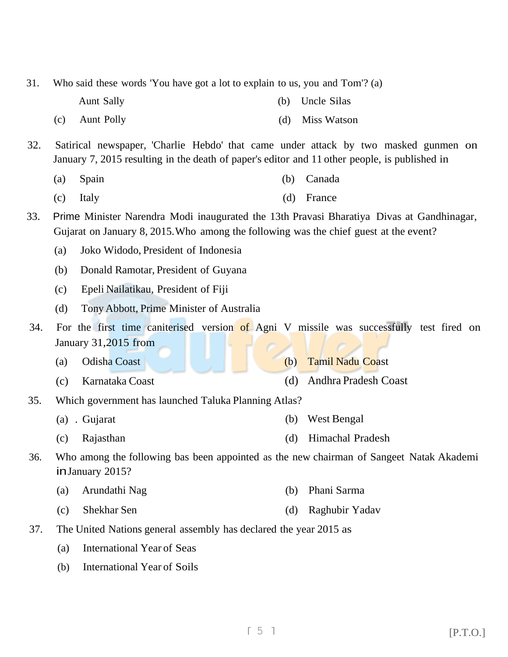| 32. | Satirical newspaper, 'Charlie Hebdo' that came under attack by two masked gunmen on<br>January 7, 2015 resulting in the death of paper's editor and 11 other people, is published in |                                                      |     |                      |  |  |
|-----|--------------------------------------------------------------------------------------------------------------------------------------------------------------------------------------|------------------------------------------------------|-----|----------------------|--|--|
|     | (a)                                                                                                                                                                                  | Spain                                                | (b) | Canada               |  |  |
|     | (c)                                                                                                                                                                                  | Italy                                                | (d) | France               |  |  |
| 33. | Prime Minister Narendra Modi inaugurated the 13th Pravasi Bharatiya Divas at Gandhinagar,<br>Gujarat on January 8, 2015. Who among the following was the chief guest at the event?   |                                                      |     |                      |  |  |
|     | (a)                                                                                                                                                                                  | Joko Widodo, President of Indonesia                  |     |                      |  |  |
|     | (b)                                                                                                                                                                                  | Donald Ramotar, President of Guyana                  |     |                      |  |  |
|     | (c)                                                                                                                                                                                  | Epeli Nailatikau, President of Fiji                  |     |                      |  |  |
|     | (d)                                                                                                                                                                                  | Tony Abbott, Prime Minister of Australia             |     |                      |  |  |
| 34. | For the first time caniterised version of Agni V missile was successfully test fired on<br>January 31,2015 from                                                                      |                                                      |     |                      |  |  |
|     | (a)                                                                                                                                                                                  | Odisha Coast                                         | (b) | Tamil Nadu Coast     |  |  |
|     | (c)                                                                                                                                                                                  | Karnataka Coast                                      | (d) | Andhra Pradesh Coast |  |  |
| 35. |                                                                                                                                                                                      | Which government has launched Taluka Planning Atlas? |     |                      |  |  |
|     |                                                                                                                                                                                      | (a) . Gujarat                                        | (b) | West Bengal          |  |  |
|     | (c)                                                                                                                                                                                  | Rajasthan                                            | (d) | Himachal Pradesh     |  |  |
| 36. | Who among the following bas been appointed as the new chairman of Sangeet Natak Akademi<br>in January 2015?                                                                          |                                                      |     |                      |  |  |
|     | (a)                                                                                                                                                                                  | Arundathi Nag                                        | (b) | Phani Sarma          |  |  |
|     | (c)                                                                                                                                                                                  | Shekhar Sen                                          | (d) | Raghubir Yadav       |  |  |
| 37. | The United Nations general assembly has declared the year 2015 as                                                                                                                    |                                                      |     |                      |  |  |
|     | (a)                                                                                                                                                                                  | <b>International Year of Seas</b>                    |     |                      |  |  |
|     | (b)                                                                                                                                                                                  | <b>International Year of Soils</b>                   |     |                      |  |  |

- Aunt Sally (b) Uncle Silas
	- (c) Aunt Polly (d) Miss Watson
- 
- 31. Who said these words 'You have got a lot to explain to us, you and Tom'? (a)

 $\lceil 5 \rceil$  [P.T.O.]

- -
- 
-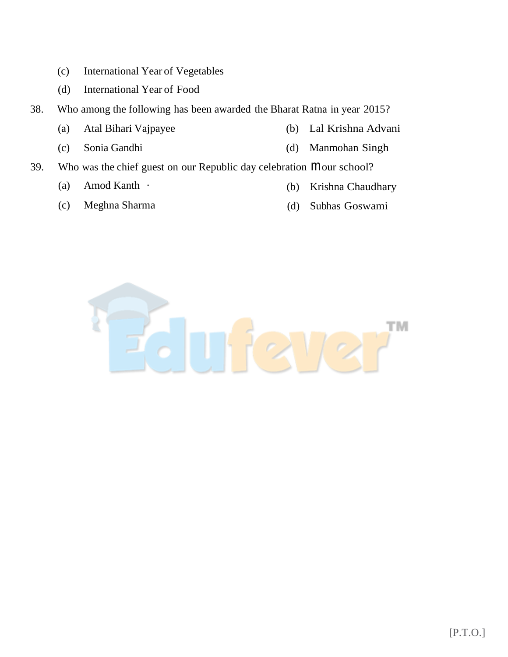- (c) International Year of Vegetables
- (d) International Year of Food
- 38. Who among the following has been awarded the Bharat Ratna in year 2015?
	- (a) Atal Bihari Vajpayee (b) Lal Krishna Advani
	- (c) Sonia Gandhi (d) Manmohan Singh
- 39. Who was the chief guest on our Republic day celebration mour school?
	- (a) Amod Kanth ·
	- (c) Meghna Sharma
- (b) Krishna Chaudhary
- (d) Subhas Goswami